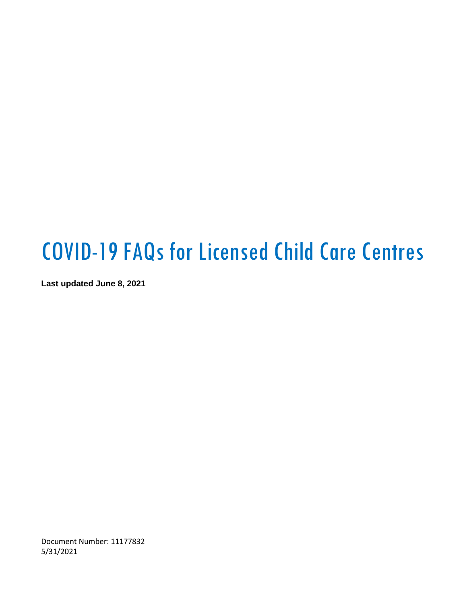# COVID-19 FAQs for Licensed Child Care Centres

**Last updated June 8, 2021**

Document Number: 11177832 5/31/2021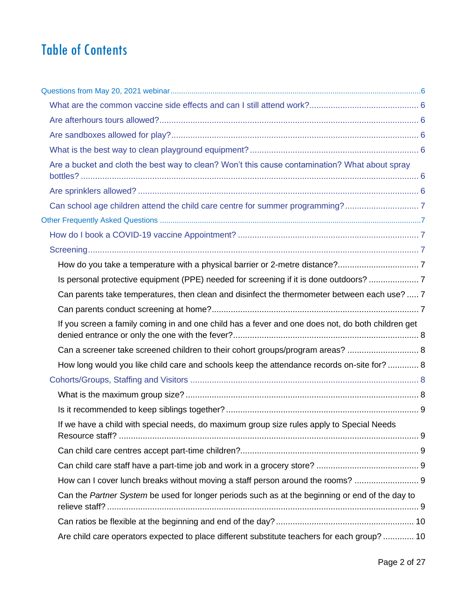# Table of Contents

| Are a bucket and cloth the best way to clean? Won't this cause contamination? What about spray    |  |
|---------------------------------------------------------------------------------------------------|--|
|                                                                                                   |  |
| Can school age children attend the child care centre for summer programming?7                     |  |
|                                                                                                   |  |
|                                                                                                   |  |
|                                                                                                   |  |
|                                                                                                   |  |
| Is personal protective equipment (PPE) needed for screening if it is done outdoors?  7            |  |
| Can parents take temperatures, then clean and disinfect the thermometer between each use?  7      |  |
|                                                                                                   |  |
| If you screen a family coming in and one child has a fever and one does not, do both children get |  |
| Can a screener take screened children to their cohort groups/program areas?  8                    |  |
| How long would you like child care and schools keep the attendance records on-site for?  8        |  |
|                                                                                                   |  |
|                                                                                                   |  |
|                                                                                                   |  |
| If we have a child with special needs, do maximum group size rules apply to Special Needs         |  |
|                                                                                                   |  |
|                                                                                                   |  |
| How can I cover lunch breaks without moving a staff person around the rooms?                      |  |
| Can the Partner System be used for longer periods such as at the beginning or end of the day to   |  |
|                                                                                                   |  |
| Are child care operators expected to place different substitute teachers for each group?  10      |  |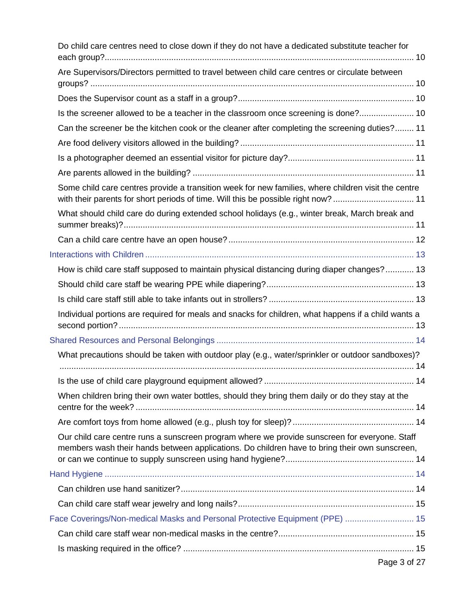| Do child care centres need to close down if they do not have a dedicated substitute teacher for                                                                                                |  |
|------------------------------------------------------------------------------------------------------------------------------------------------------------------------------------------------|--|
| Are Supervisors/Directors permitted to travel between child care centres or circulate between                                                                                                  |  |
|                                                                                                                                                                                                |  |
| Is the screener allowed to be a teacher in the classroom once screening is done? 10                                                                                                            |  |
| Can the screener be the kitchen cook or the cleaner after completing the screening duties? 11                                                                                                  |  |
|                                                                                                                                                                                                |  |
|                                                                                                                                                                                                |  |
|                                                                                                                                                                                                |  |
| Some child care centres provide a transition week for new families, where children visit the centre<br>with their parents for short periods of time. Will this be possible right now? 11       |  |
| What should child care do during extended school holidays (e.g., winter break, March break and                                                                                                 |  |
|                                                                                                                                                                                                |  |
|                                                                                                                                                                                                |  |
| How is child care staff supposed to maintain physical distancing during diaper changes? 13                                                                                                     |  |
|                                                                                                                                                                                                |  |
|                                                                                                                                                                                                |  |
| Individual portions are required for meals and snacks for children, what happens if a child wants a                                                                                            |  |
|                                                                                                                                                                                                |  |
| What precautions should be taken with outdoor play (e.g., water/sprinkler or outdoor sandboxes)?                                                                                               |  |
|                                                                                                                                                                                                |  |
| When children bring their own water bottles, should they bring them daily or do they stay at the                                                                                               |  |
|                                                                                                                                                                                                |  |
| Our child care centre runs a sunscreen program where we provide sunscreen for everyone. Staff<br>members wash their hands between applications. Do children have to bring their own sunscreen, |  |
|                                                                                                                                                                                                |  |
|                                                                                                                                                                                                |  |
|                                                                                                                                                                                                |  |
| Face Coverings/Non-medical Masks and Personal Protective Equipment (PPE)  15                                                                                                                   |  |
|                                                                                                                                                                                                |  |
|                                                                                                                                                                                                |  |
|                                                                                                                                                                                                |  |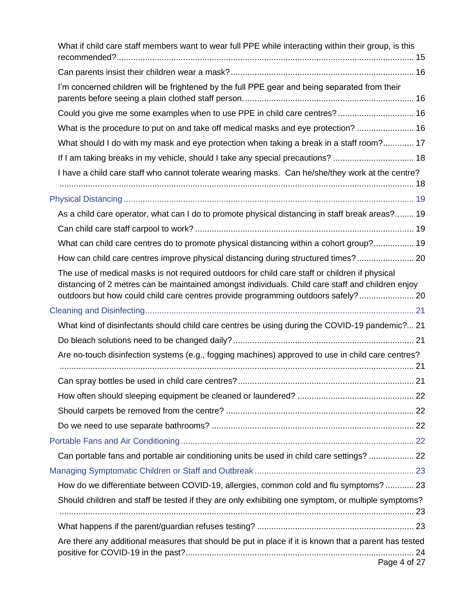| What if child care staff members want to wear full PPE while interacting within their group, is this                                                                                                                                                                                      |  |
|-------------------------------------------------------------------------------------------------------------------------------------------------------------------------------------------------------------------------------------------------------------------------------------------|--|
|                                                                                                                                                                                                                                                                                           |  |
| I'm concerned children will be frightened by the full PPE gear and being separated from their                                                                                                                                                                                             |  |
| Could you give me some examples when to use PPE in child care centres? 16                                                                                                                                                                                                                 |  |
| What is the procedure to put on and take off medical masks and eye protection?  16                                                                                                                                                                                                        |  |
| What should I do with my mask and eye protection when taking a break in a staff room? 17                                                                                                                                                                                                  |  |
| If I am taking breaks in my vehicle, should I take any special precautions?  18                                                                                                                                                                                                           |  |
| I have a child care staff who cannot tolerate wearing masks. Can he/she/they work at the centre?                                                                                                                                                                                          |  |
|                                                                                                                                                                                                                                                                                           |  |
|                                                                                                                                                                                                                                                                                           |  |
| As a child care operator, what can I do to promote physical distancing in staff break areas? 19                                                                                                                                                                                           |  |
|                                                                                                                                                                                                                                                                                           |  |
| What can child care centres do to promote physical distancing within a cohort group? 19                                                                                                                                                                                                   |  |
| How can child care centres improve physical distancing during structured times? 20                                                                                                                                                                                                        |  |
| The use of medical masks is not required outdoors for child care staff or children if physical<br>distancing of 2 metres can be maintained amongst individuals. Child care staff and children enjoy<br>outdoors but how could child care centres provide programming outdoors safely?  20 |  |
|                                                                                                                                                                                                                                                                                           |  |
| What kind of disinfectants should child care centres be using during the COVID-19 pandemic? 21                                                                                                                                                                                            |  |
|                                                                                                                                                                                                                                                                                           |  |
| Are no-touch disinfection systems (e.g., fogging machines) approved to use in child care centres?                                                                                                                                                                                         |  |
|                                                                                                                                                                                                                                                                                           |  |
|                                                                                                                                                                                                                                                                                           |  |
|                                                                                                                                                                                                                                                                                           |  |
|                                                                                                                                                                                                                                                                                           |  |
|                                                                                                                                                                                                                                                                                           |  |
| Can portable fans and portable air conditioning units be used in child care settings?  22                                                                                                                                                                                                 |  |
|                                                                                                                                                                                                                                                                                           |  |
| How do we differentiate between COVID-19, allergies, common cold and flu symptoms?  23                                                                                                                                                                                                    |  |
| Should children and staff be tested if they are only exhibiting one symptom, or multiple symptoms?                                                                                                                                                                                        |  |
|                                                                                                                                                                                                                                                                                           |  |
|                                                                                                                                                                                                                                                                                           |  |
| Are there any additional measures that should be put in place if it is known that a parent has tested<br>. 24<br>Page 4 of 27                                                                                                                                                             |  |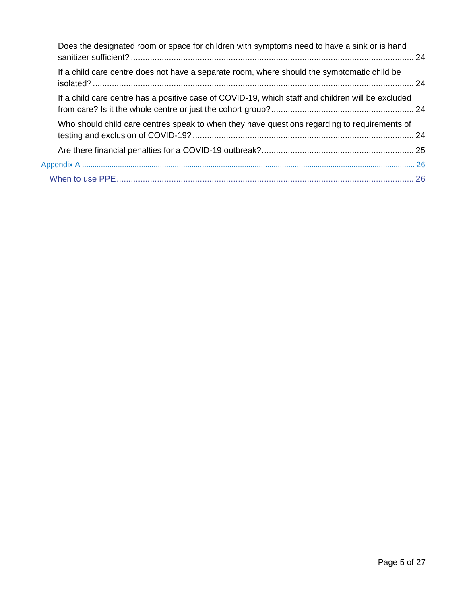| Does the designated room or space for children with symptoms need to have a sink or is hand       |  |
|---------------------------------------------------------------------------------------------------|--|
| If a child care centre does not have a separate room, where should the symptomatic child be       |  |
| If a child care centre has a positive case of COVID-19, which staff and children will be excluded |  |
| Who should child care centres speak to when they have questions regarding to requirements of      |  |
|                                                                                                   |  |
|                                                                                                   |  |
|                                                                                                   |  |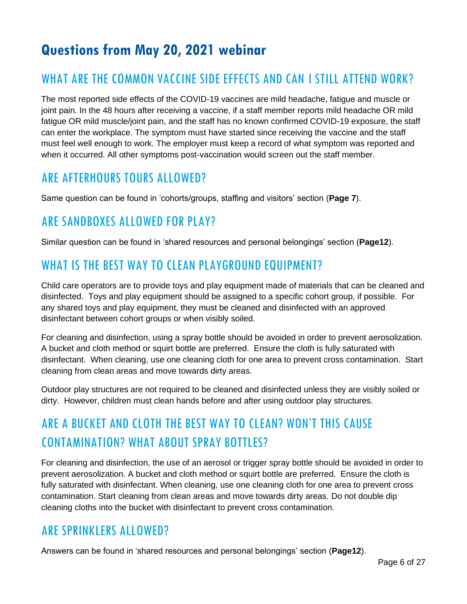# <span id="page-5-0"></span>**Questions from May 20, 2021 webinar**

# <span id="page-5-1"></span>WHAT ARE THE COMMON VACCINE SIDE EFFECTS AND CAN I STILL ATTEND WORK?

The most reported side effects of the COVID-19 vaccines are mild headache, fatigue and muscle or joint pain. In the 48 hours after receiving a vaccine, if a staff member reports mild headache OR mild fatigue OR mild muscle/joint pain, and the staff has no known confirmed COVID-19 exposure, the staff can enter the workplace. The symptom must have started since receiving the vaccine and the staff must feel well enough to work. The employer must keep a record of what symptom was reported and when it occurred. All other symptoms post-vaccination would screen out the staff member.

# <span id="page-5-2"></span>ARE AFTERHOURS TOURS ALLOWED?

Same question can be found in 'cohorts/groups, staffing and visitors' section (**Page 7**).

# <span id="page-5-3"></span>ARE SANDBOXES ALLOWED FOR PLAY?

Similar question can be found in 'shared resources and personal belongings' section (**Page12**).

# <span id="page-5-4"></span>WHAT IS THE BEST WAY TO CLEAN PLAYGROUND EQUIPMENT?

Child care operators are to provide toys and play equipment made of materials that can be cleaned and disinfected. Toys and play equipment should be assigned to a specific cohort group, if possible. For any shared toys and play equipment, they must be cleaned and disinfected with an approved disinfectant between cohort groups or when visibly soiled.

For cleaning and disinfection, using a spray bottle should be avoided in order to prevent aerosolization. A bucket and cloth method or squirt bottle are preferred. Ensure the cloth is fully saturated with disinfectant. When cleaning, use one cleaning cloth for one area to prevent cross contamination. Start cleaning from clean areas and move towards dirty areas.

Outdoor play structures are not required to be cleaned and disinfected unless they are visibly soiled or dirty. However, children must clean hands before and after using outdoor play structures.

# <span id="page-5-5"></span>ARE A BUCKET AND CLOTH THE BEST WAY TO CLEAN? WON'T THIS CAUSE CONTAMINATION? WHAT ABOUT SPRAY BOTTLES?

For cleaning and disinfection, the use of an aerosol or trigger spray bottle should be avoided in order to prevent aerosolization. A bucket and cloth method or squirt bottle are preferred. Ensure the cloth is fully saturated with disinfectant. When cleaning, use one cleaning cloth for one area to prevent cross contamination. Start cleaning from clean areas and move towards dirty areas. Do not double dip cleaning cloths into the bucket with disinfectant to prevent cross contamination.

# <span id="page-5-6"></span>ARE SPRINKLERS ALLOWED?

Answers can be found in 'shared resources and personal belongings' section (**Page12**).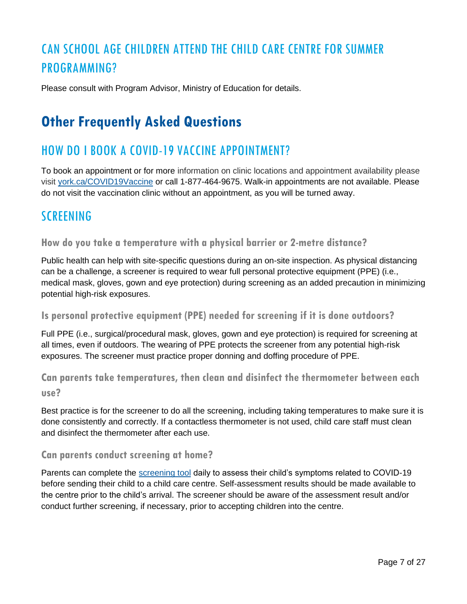# <span id="page-6-0"></span>CAN SCHOOL AGE CHILDREN ATTEND THE CHILD CARE CENTRE FOR SUMMER PROGRAMMING?

Please consult with Program Advisor, Ministry of Education for details.

# <span id="page-6-1"></span>**Other Frequently Asked Questions**

# <span id="page-6-2"></span>HOW DO I BOOK A COVID-19 VACCINE APPOINTMENT?

To book an appointment or for more information on clinic locations and appointment availability please visit [york.ca/COVID19Vaccine](http://www.york.ca/COVID19Vaccine) or call 1-877-464-9675. Walk-in appointments are not available. Please do not visit the vaccination clinic without an appointment, as you will be turned away.

# <span id="page-6-3"></span>SCREENING

<span id="page-6-4"></span>**How do you take a temperature with a physical barrier or 2-metre distance?**

Public health can help with site-specific questions during an on-site inspection. As physical distancing can be a challenge, a screener is required to wear full personal protective equipment (PPE) (i.e., medical mask, gloves, gown and eye protection) during screening as an added precaution in minimizing potential high-risk exposures.

#### <span id="page-6-5"></span>**Is personal protective equipment (PPE) needed for screening if it is done outdoors?**

Full PPE (i.e., surgical/procedural mask, gloves, gown and eye protection) is required for screening at all times, even if outdoors. The wearing of PPE protects the screener from any potential high-risk exposures. The screener must practice proper donning and doffing procedure of PPE.

### <span id="page-6-6"></span>**Can parents take temperatures, then clean and disinfect the thermometer between each use?**

Best practice is for the screener to do all the screening, including taking temperatures to make sure it is done consistently and correctly. If a contactless thermometer is not used, child care staff must clean and disinfect the thermometer after each use.

#### <span id="page-6-7"></span>**Can parents conduct screening at home?**

Parents can complete the [screening tool](https://covid-19.ontario.ca/school-screening/) daily to assess their child's symptoms related to COVID-19 before sending their child to a child care centre. Self-assessment results should be made available to the centre prior to the child's arrival. The screener should be aware of the assessment result and/or conduct further screening, if necessary, prior to accepting children into the centre.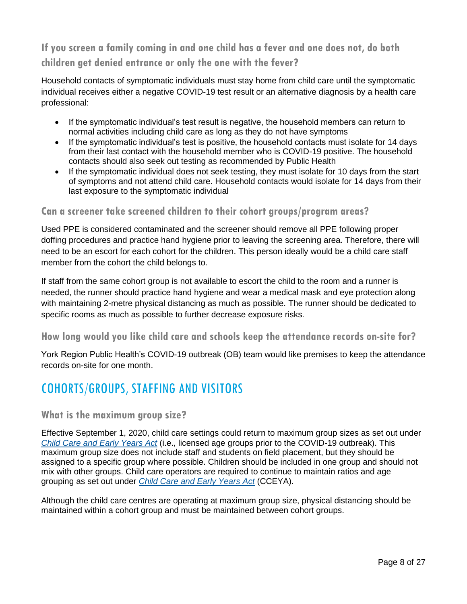# <span id="page-7-0"></span>**If you screen a family coming in and one child has a fever and one does not, do both children get denied entrance or only the one with the fever?**

Household contacts of symptomatic individuals must stay home from child care until the symptomatic individual receives either a negative COVID-19 test result or an alternative diagnosis by a health care professional:

- If the symptomatic individual's test result is negative, the household members can return to normal activities including child care as long as they do not have symptoms
- If the symptomatic individual's test is positive, the household contacts must isolate for 14 days from their last contact with the household member who is COVID-19 positive. The household contacts should also seek out testing as recommended by Public Health
- If the symptomatic individual does not seek testing, they must isolate for 10 days from the start of symptoms and not attend child care. Household contacts would isolate for 14 days from their last exposure to the symptomatic individual

#### <span id="page-7-1"></span>**Can a screener take screened children to their cohort groups/program areas?**

Used PPE is considered contaminated and the screener should remove all PPE following proper doffing procedures and practice hand hygiene prior to leaving the screening area. Therefore, there will need to be an escort for each cohort for the children. This person ideally would be a child care staff member from the cohort the child belongs to.

If staff from the same cohort group is not available to escort the child to the room and a runner is needed, the runner should practice hand hygiene and wear a medical mask and eye protection along with maintaining 2-metre physical distancing as much as possible. The runner should be dedicated to specific rooms as much as possible to further decrease exposure risks.

#### <span id="page-7-2"></span>**How long would you like child care and schools keep the attendance records on-site for?**

York Region Public Health's COVID-19 outbreak (OB) team would like premises to keep the attendance records on-site for one month.

# <span id="page-7-3"></span>COHORTS/GROUPS, STAFFING AND VISITORS

#### <span id="page-7-4"></span>**What is the maximum group size?**

Effective September 1, 2020, child care settings could return to maximum group sizes as set out under *[Child Care and Early Years Act](https://www.ontario.ca/laws/regulation/150137)* (i.e., licensed age groups prior to the COVID-19 outbreak). This maximum group size does not include staff and students on field placement, but they should be assigned to a specific group where possible. Children should be included in one group and should not mix with other groups. Child care operators are required to continue to maintain ratios and age grouping as set out under *[Child Care and Early Years Act](https://www.ontario.ca/laws/regulation/150137)* (CCEYA).

Although the child care centres are operating at maximum group size, physical distancing should be maintained within a cohort group and must be maintained between cohort groups.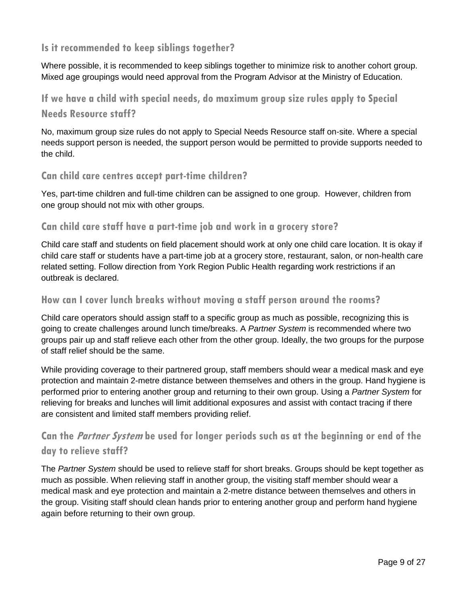### <span id="page-8-0"></span>**Is it recommended to keep siblings together?**

Where possible, it is recommended to keep siblings together to minimize risk to another cohort group. Mixed age groupings would need approval from the Program Advisor at the Ministry of Education.

### <span id="page-8-1"></span>**If we have a child with special needs, do maximum group size rules apply to Special Needs Resource staff?**

No, maximum group size rules do not apply to Special Needs Resource staff on-site. Where a special needs support person is needed, the support person would be permitted to provide supports needed to the child.

#### <span id="page-8-2"></span>**Can child care centres accept part-time children?**

Yes, part-time children and full-time children can be assigned to one group. However, children from one group should not mix with other groups.

#### <span id="page-8-3"></span>**Can child care staff have a part-time job and work in a grocery store?**

Child care staff and students on field placement should work at only one child care location. It is okay if child care staff or students have a part-time job at a grocery store, restaurant, salon, or non-health care related setting. Follow direction from York Region Public Health regarding work restrictions if an outbreak is declared.

#### <span id="page-8-4"></span>**How can I cover lunch breaks without moving a staff person around the rooms?**

Child care operators should assign staff to a specific group as much as possible, recognizing this is going to create challenges around lunch time/breaks. A *Partner System* is recommended where two groups pair up and staff relieve each other from the other group. Ideally, the two groups for the purpose of staff relief should be the same.

While providing coverage to their partnered group, staff members should wear a medical mask and eye protection and maintain 2-metre distance between themselves and others in the group. Hand hygiene is performed prior to entering another group and returning to their own group. Using a *Partner System* for relieving for breaks and lunches will limit additional exposures and assist with contact tracing if there are consistent and limited staff members providing relief.

# <span id="page-8-5"></span>**Can the Partner System be used for longer periods such as at the beginning or end of the day to relieve staff?**

The *Partner System* should be used to relieve staff for short breaks. Groups should be kept together as much as possible. When relieving staff in another group, the visiting staff member should wear a medical mask and eye protection and maintain a 2-metre distance between themselves and others in the group. Visiting staff should clean hands prior to entering another group and perform hand hygiene again before returning to their own group.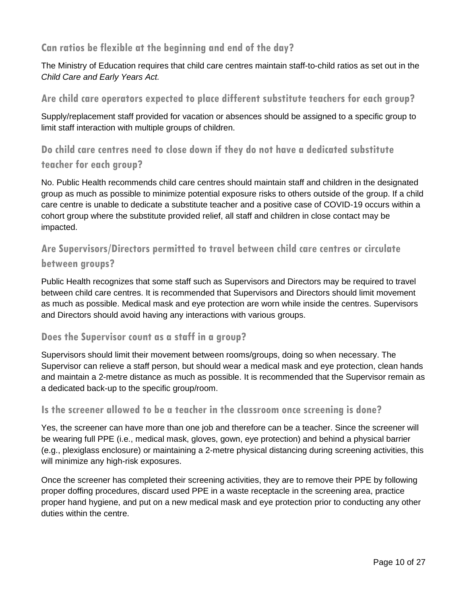### <span id="page-9-0"></span>**Can ratios be flexible at the beginning and end of the day?**

The Ministry of Education requires that child care centres maintain staff-to-child ratios as set out in the *Child Care and Early Years Act.*

#### <span id="page-9-1"></span>**Are child care operators expected to place different substitute teachers for each group?**

Supply/replacement staff provided for vacation or absences should be assigned to a specific group to limit staff interaction with multiple groups of children.

### <span id="page-9-2"></span>**Do child care centres need to close down if they do not have a dedicated substitute teacher for each group?**

No. Public Health recommends child care centres should maintain staff and children in the designated group as much as possible to minimize potential exposure risks to others outside of the group. If a child care centre is unable to dedicate a substitute teacher and a positive case of COVID-19 occurs within a cohort group where the substitute provided relief, all staff and children in close contact may be impacted.

### <span id="page-9-3"></span>**Are Supervisors/Directors permitted to travel between child care centres or circulate between groups?**

Public Health recognizes that some staff such as Supervisors and Directors may be required to travel between child care centres. It is recommended that Supervisors and Directors should limit movement as much as possible. Medical mask and eye protection are worn while inside the centres. Supervisors and Directors should avoid having any interactions with various groups.

#### <span id="page-9-4"></span>**Does the Supervisor count as a staff in a group?**

Supervisors should limit their movement between rooms/groups, doing so when necessary. The Supervisor can relieve a staff person, but should wear a medical mask and eye protection, clean hands and maintain a 2-metre distance as much as possible. It is recommended that the Supervisor remain as a dedicated back-up to the specific group/room.

#### <span id="page-9-5"></span>**Is the screener allowed to be a teacher in the classroom once screening is done?**

Yes, the screener can have more than one job and therefore can be a teacher. Since the screener will be wearing full PPE (i.e., medical mask, gloves, gown, eye protection) and behind a physical barrier (e.g., plexiglass enclosure) or maintaining a 2-metre physical distancing during screening activities, this will minimize any high-risk exposures.

Once the screener has completed their screening activities, they are to remove their PPE by following proper doffing procedures, discard used PPE in a waste receptacle in the screening area, practice proper hand hygiene, and put on a new medical mask and eye protection prior to conducting any other duties within the centre.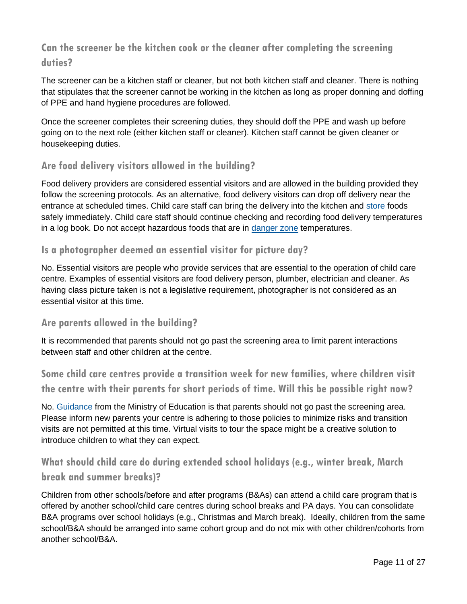# <span id="page-10-0"></span>**Can the screener be the kitchen cook or the cleaner after completing the screening duties?**

The screener can be a kitchen staff or cleaner, but not both kitchen staff and cleaner. There is nothing that stipulates that the screener cannot be working in the kitchen as long as proper donning and doffing of PPE and hand hygiene procedures are followed.

Once the screener completes their screening duties, they should doff the PPE and wash up before going on to the next role (either kitchen staff or cleaner). Kitchen staff cannot be given cleaner or housekeeping duties.

### <span id="page-10-1"></span>**Are food delivery visitors allowed in the building?**

Food delivery providers are considered essential visitors and are allowed in the building provided they follow the screening protocols. As an alternative, food delivery visitors can drop off delivery near the entrance at scheduled times. Child care staff can bring the delivery into the kitchen and [store f](https://www.york.ca/wps/wcm/connect/yorkpublic/7eb8ba23-61a6-4de1-9bd7-d13c1e6fe7db/Food+Safety+Danger+Zone+sign.pdf?MOD=AJPERES&CACHEID=ROOTWORKSPACE.Z18_29D41BG0PGOC70QQGGJK4I0004-7eb8ba23-61a6-4de1-9bd7-d13c1e6fe7db-mLVVvyk)oods safely immediately. Child care staff should continue checking and recording food delivery temperatures in a log book. Do not accept hazardous foods that are in [danger zone](https://www.york.ca/wps/wcm/connect/yorkpublic/7eb8ba23-61a6-4de1-9bd7-d13c1e6fe7db/Food+Safety+Danger+Zone+sign.pdf?MOD=AJPERES&CACHEID=ROOTWORKSPACE.Z18_29D41BG0PGOC70QQGGJK4I0004-7eb8ba23-61a6-4de1-9bd7-d13c1e6fe7db-mLVVvyk) temperatures.

#### <span id="page-10-2"></span>**Is a photographer deemed an essential visitor for picture day?**

No. Essential visitors are people who provide services that are essential to the operation of child care centre. Examples of essential visitors are food delivery person, plumber, electrician and cleaner. As having class picture taken is not a legislative requirement, photographer is not considered as an essential visitor at this time.

#### <span id="page-10-3"></span>**Are parents allowed in the building?**

It is recommended that parents should not go past the screening area to limit parent interactions between staff and other children at the centre.

<span id="page-10-4"></span>**Some child care centres provide a transition week for new families, where children visit the centre with their parents for short periods of time. Will this be possible right now?**

No. [Guidance f](http://www.edu.gov.on.ca/childcare/child-care-re-opening-operational-guidance.pdf)rom the Ministry of Education is that parents should not go past the screening area. Please inform new parents your centre is adhering to those policies to minimize risks and transition visits are not permitted at this time. Virtual visits to tour the space might be a creative solution to introduce children to what they can expect.

# <span id="page-10-5"></span>**What should child care do during extended school holidays (e.g., winter break, March break and summer breaks)?**

Children from other schools/before and after programs (B&As) can attend a child care program that is offered by another school/child care centres during school breaks and PA days. You can consolidate B&A programs over school holidays (e.g., Christmas and March break). Ideally, children from the same school/B&A should be arranged into same cohort group and do not mix with other children/cohorts from another school/B&A.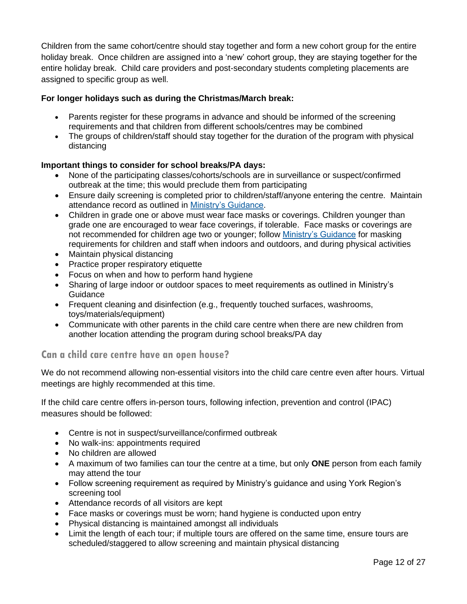Children from the same cohort/centre should stay together and form a new cohort group for the entire holiday break. Once children are assigned into a 'new' cohort group, they are staying together for the entire holiday break. Child care providers and post-secondary students completing placements are assigned to specific group as well.

#### **For longer holidays such as during the Christmas/March break:**

- Parents register for these programs in advance and should be informed of the screening requirements and that children from different schools/centres may be combined
- The groups of children/staff should stay together for the duration of the program with physical distancing

#### **Important things to consider for school breaks/PA days:**

- None of the participating classes/cohorts/schools are in surveillance or suspect/confirmed outbreak at the time; this would preclude them from participating
- Ensure daily screening is completed prior to children/staff/anyone entering the centre. Maintain attendance record as outlined in [Ministry's Guidance.](https://can01.safelinks.protection.outlook.com/?url=http%3A%2F%2Fwww.edu.gov.on.ca%2Fchildcare%2Fchild-care-guide-child-care.pdf&data=04%7C01%7Camacdonald%40ucccc.ca%7Ca1d65a32187648f594d908d88fe20d7a%7C9ee916e66dbe44d4b6e25e22cfc01ef8%7C0%7C0%7C637417548340821047%7CUnknown%7CTWFpbGZsb3d8eyJWIjoiMC4wLjAwMDAiLCJQIjoiV2luMzIiLCJBTiI6Ik1haWwiLCJXVCI6Mn0%3D%7C1000&sdata=F6qcZp5wycNMafxEmiu59%2Bqv2qsy0hoYO%2ByXstY3LT4%3D&reserved=0)
- Children in grade one or above must wear face masks or coverings. Children vounger than grade one are encouraged to wear face coverings, if tolerable. Face masks or coverings are not recommended for children age two or younger; follow [Ministry's Guidance](http://www.edu.gov.on.ca/childcare/child-care-guide-child-care.pdf) for masking requirements for children and staff when indoors and outdoors, and during physical activities
- Maintain physical distancing
- Practice proper respiratory etiquette
- Focus on when and how to perform hand hygiene
- Sharing of large indoor or outdoor spaces to meet requirements as outlined in Ministry's **Guidance**
- Frequent cleaning and disinfection (e.g., frequently touched surfaces, washrooms, toys/materials/equipment)
- Communicate with other parents in the child care centre when there are new children from another location attending the program during school breaks/PA day

#### <span id="page-11-0"></span>**Can a child care centre have an open house?**

We do not recommend allowing non-essential visitors into the child care centre even after hours. Virtual meetings are highly recommended at this time.

If the child care centre offers in-person tours, following infection, prevention and control (IPAC) measures should be followed:

- Centre is not in suspect/surveillance/confirmed outbreak
- No walk-ins: appointments required
- No children are allowed
- A maximum of two families can tour the centre at a time, but only **ONE** person from each family may attend the tour
- Follow screening requirement as required by Ministry's guidance and using York Region's screening tool
- Attendance records of all visitors are kept
- Face masks or coverings must be worn; hand hygiene is conducted upon entry
- Physical distancing is maintained amongst all individuals
- Limit the length of each tour; if multiple tours are offered on the same time, ensure tours are scheduled/staggered to allow screening and maintain physical distancing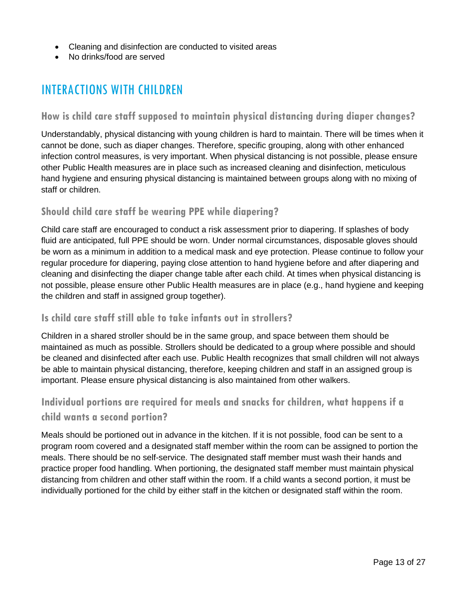- Cleaning and disinfection are conducted to visited areas
- No drinks/food are served

# <span id="page-12-0"></span>INTERACTIONS WITH CHILDREN

#### <span id="page-12-1"></span>**How is child care staff supposed to maintain physical distancing during diaper changes?**

Understandably, physical distancing with young children is hard to maintain. There will be times when it cannot be done, such as diaper changes. Therefore, specific grouping, along with other enhanced infection control measures, is very important. When physical distancing is not possible, please ensure other Public Health measures are in place such as increased cleaning and disinfection, meticulous hand hygiene and ensuring physical distancing is maintained between groups along with no mixing of staff or children.

#### <span id="page-12-2"></span>**Should child care staff be wearing PPE while diapering?**

Child care staff are encouraged to conduct a risk assessment prior to diapering. If splashes of body fluid are anticipated, full PPE should be worn. Under normal circumstances, disposable gloves should be worn as a minimum in addition to a medical mask and eye protection. Please continue to follow your regular procedure for diapering, paying close attention to hand hygiene before and after diapering and cleaning and disinfecting the diaper change table after each child. At times when physical distancing is not possible, please ensure other Public Health measures are in place (e.g., hand hygiene and keeping the children and staff in assigned group together).

#### <span id="page-12-3"></span>**Is child care staff still able to take infants out in strollers?**

Children in a shared stroller should be in the same group, and space between them should be maintained as much as possible. Strollers should be dedicated to a group where possible and should be cleaned and disinfected after each use. Public Health recognizes that small children will not always be able to maintain physical distancing, therefore, keeping children and staff in an assigned group is important. Please ensure physical distancing is also maintained from other walkers.

# <span id="page-12-4"></span>**Individual portions are required for meals and snacks for children, what happens if a child wants a second portion?**

Meals should be portioned out in advance in the kitchen. If it is not possible, food can be sent to a program room covered and a designated staff member within the room can be assigned to portion the meals. There should be no self-service. The designated staff member must wash their hands and practice proper food handling. When portioning, the designated staff member must maintain physical distancing from children and other staff within the room. If a child wants a second portion, it must be individually portioned for the child by either staff in the kitchen or designated staff within the room.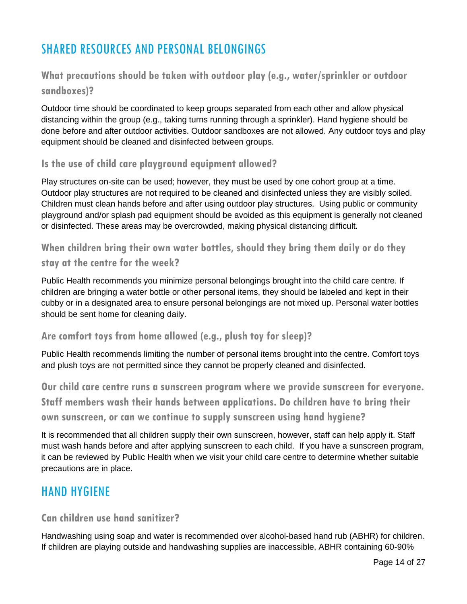# <span id="page-13-0"></span>SHARED RESOURCES AND PERSONAL BELONGINGS

# <span id="page-13-1"></span>**What precautions should be taken with outdoor play (e.g., water/sprinkler or outdoor sandboxes)?**

Outdoor time should be coordinated to keep groups separated from each other and allow physical distancing within the group (e.g., taking turns running through a sprinkler). Hand hygiene should be done before and after outdoor activities. Outdoor sandboxes are not allowed. Any outdoor toys and play equipment should be cleaned and disinfected between groups.

#### <span id="page-13-2"></span>**Is the use of child care playground equipment allowed?**

Play structures on-site can be used; however, they must be used by one cohort group at a time. Outdoor play structures are not required to be cleaned and disinfected unless they are visibly soiled. Children must clean hands before and after using outdoor play structures. Using public or community playground and/or splash pad equipment should be avoided as this equipment is generally not cleaned or disinfected. These areas may be overcrowded, making physical distancing difficult.

# <span id="page-13-3"></span>**When children bring their own water bottles, should they bring them daily or do they stay at the centre for the week?**

Public Health recommends you minimize personal belongings brought into the child care centre. If children are bringing a water bottle or other personal items, they should be labeled and kept in their cubby or in a designated area to ensure personal belongings are not mixed up. Personal water bottles should be sent home for cleaning daily.

#### <span id="page-13-4"></span>**Are comfort toys from home allowed (e.g., plush toy for sleep)?**

Public Health recommends limiting the number of personal items brought into the centre. Comfort toys and plush toys are not permitted since they cannot be properly cleaned and disinfected.

```
Our child care centre runs a sunscreen program where we provide sunscreen for everyone. 
Staff members wash their hands between applications. Do children have to bring their 
own sunscreen, or can we continue to supply sunscreen using hand hygiene?
```
It is recommended that all children supply their own sunscreen, however, staff can help apply it. Staff must wash hands before and after applying sunscreen to each child. If you have a sunscreen program, it can be reviewed by Public Health when we visit your child care centre to determine whether suitable precautions are in place.

# <span id="page-13-6"></span>HAND HYGIENE

#### <span id="page-13-7"></span>**Can children use hand sanitizer?**

Handwashing using soap and water is recommended over alcohol-based hand rub (ABHR) for children. If children are playing outside and handwashing supplies are inaccessible, ABHR containing 60-90%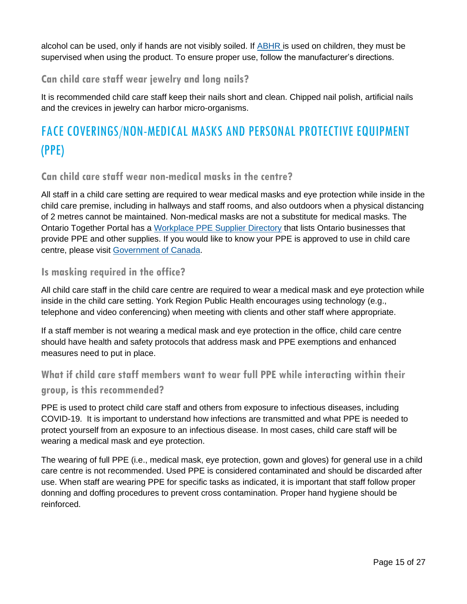alcohol can be used, only if hands are not visibly soiled. If [ABHR i](https://www.york.ca/wps/wcm/connect/yorkpublic/5c191ee2-4e54-4be4-986a-80bd459151f1/How+to+correctly+use+hand+sanitizer.pdf?MOD=AJPERES&CVID=muk-1s5)s used on children, they must be supervised when using the product. To ensure proper use, follow the manufacturer's directions.

### <span id="page-14-0"></span>**Can child care staff wear jewelry and long nails?**

It is recommended child care staff keep their nails short and clean. Chipped nail polish, artificial nails and the crevices in jewelry can harbor micro-organisms.

# <span id="page-14-1"></span>FACE COVERINGS/NON-MEDICAL MASKS AND PERSONAL PROTECTIVE EQUIPMENT (PPE)

### <span id="page-14-2"></span>**Can child care staff wear non-medical masks in the centre?**

All staff in a child care setting are required to wear medical masks and eye protection while inside in the child care premise, including in hallways and staff rooms, and also outdoors when a physical distancing of 2 metres cannot be maintained. Non-medical masks are not a substitute for medical masks. The Ontario Together Portal has a [Workplace PPE Supplier Directory](https://covid-19.ontario.ca/workplace-ppe-supplier-directory#no-back) that lists Ontario businesses that provide PPE and other supplies. If you would like to know your PPE is approved to use in child care centre, please visit [Government](https://www.canada.ca/en/health-canada/services/drugs-health-products/covid19-industry/medical-devices/authorized/other.html) of Canada.

#### <span id="page-14-3"></span>**Is masking required in the office?**

All child care staff in the child care centre are required to wear a medical mask and eye protection while inside in the child care setting. York Region Public Health encourages using technology (e.g., telephone and video conferencing) when meeting with clients and other staff where appropriate.

If a staff member is not wearing a medical mask and eye protection in the office, child care centre should have health and safety protocols that address mask and PPE exemptions and enhanced measures need to put in place.

# <span id="page-14-4"></span>**What if child care staff members want to wear full PPE while interacting within their group, is this recommended?**

PPE is used to protect child care staff and others from exposure to infectious diseases, including COVID-19. It is important to understand how infections are transmitted and what PPE is needed to protect yourself from an exposure to an infectious disease. In most cases, child care staff will be wearing a medical mask and eye protection.

The wearing of full PPE (i.e., medical mask, eye protection, gown and gloves) for general use in a child care centre is not recommended. Used PPE is considered contaminated and should be discarded after use. When staff are wearing PPE for specific tasks as indicated, it is important that staff follow proper donning and doffing procedures to prevent cross contamination. Proper hand hygiene should be reinforced.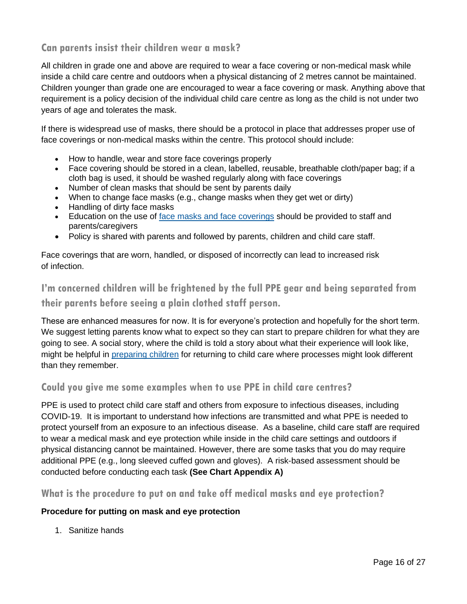### <span id="page-15-0"></span>**Can parents insist their children wear a mask?**

All children in grade one and above are required to wear a face covering or non-medical mask while inside a child care centre and outdoors when a physical distancing of 2 metres cannot be maintained. Children younger than grade one are encouraged to wear a face covering or mask. Anything above that requirement is a policy decision of the individual child care centre as long as the child is not under two years of age and tolerates the mask.

If there is widespread use of masks, there should be a protocol in place that addresses proper use of face coverings or non-medical masks within the centre. This protocol should include:

- How to handle, wear and store face coverings properly
- Face covering should be stored in a clean, labelled, reusable, breathable cloth/paper bag; if a cloth bag is used, it should be washed regularly along with face coverings
- Number of clean masks that should be sent by parents daily
- When to change face masks (e.g., change masks when they get wet or dirty)
- Handling of dirty face masks
- Education on the use of [face masks and face coverings](https://www.york.ca/wps/wcm/connect/yorkpublic/22d78cb0-1aa4-4500-aaaa-a5b1694765ad/100_Masks+and+Young+Children-Jan26.pdf?MOD=AJPERES&CVID=nt45fSa) should be provided to staff and parents/caregivers
- Policy is shared with parents and followed by parents, children and child care staff.

Face coverings that are worn, handled, or disposed of incorrectly can lead to increased risk of infection.

<span id="page-15-1"></span>**I'm concerned children will be frightened by the full PPE gear and being separated from their parents before seeing a plain clothed staff person.** 

These are enhanced measures for now. It is for everyone's protection and hopefully for the short term. We suggest letting parents know what to expect so they can start to prepare children for what they are going to see. A social story, where the child is told a story about what their experience will look like, might be helpful in [preparing](https://www.york.ca/wps/wcm/connect/yorkpublic/26a32e95-37be-4c7c-b157-c88dd0c194e6/202032_58_COVID-19+and+Children+Factsheet.pdf?MOD=AJPERES&CVID=naGRlWq) children for returning to child care where processes might look different than they remember.

#### <span id="page-15-2"></span>**Could you give me some examples when to use PPE in child care centres?**

PPE is used to protect child care staff and others from exposure to infectious diseases, including COVID-19. It is important to understand how infections are transmitted and what PPE is needed to protect yourself from an exposure to an infectious disease. As a baseline, child care staff are required to wear a medical mask and eye protection while inside in the child care settings and outdoors if physical distancing cannot be maintained. However, there are some tasks that you do may require additional PPE (e.g., long sleeved cuffed gown and gloves). A risk-based assessment should be conducted before conducting each task **(See Chart Appendix A)**

<span id="page-15-3"></span>**What is the procedure to put on and take off medical masks and eye protection?**

#### **Procedure for putting on mask and eye protection**

1. Sanitize hands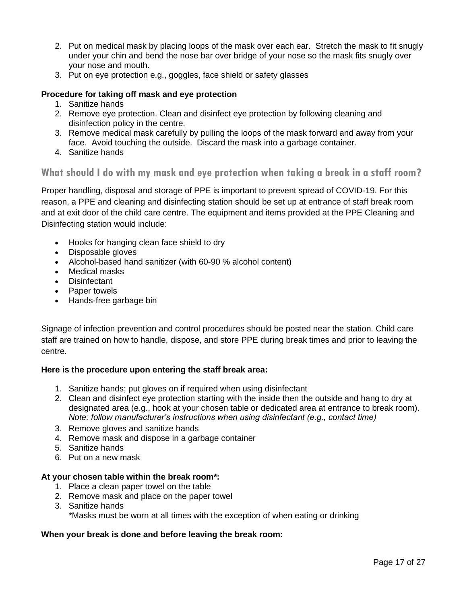- 2. Put on medical mask by placing loops of the mask over each ear. Stretch the mask to fit snugly under your chin and bend the nose bar over bridge of your nose so the mask fits snugly over your nose and mouth.
- 3. Put on eye protection e.g., goggles, face shield or safety glasses

#### **Procedure for taking off mask and eye protection**

- 1. Sanitize hands
- 2. Remove eye protection. Clean and disinfect eye protection by following cleaning and disinfection policy in the centre.
- 3. Remove medical mask carefully by pulling the loops of the mask forward and away from your face. Avoid touching the outside. Discard the mask into a garbage container.
- 4. Sanitize hands

#### <span id="page-16-0"></span>**What should I do with my mask and eye protection when taking a break in a staff room?**

Proper handling, disposal and storage of PPE is important to prevent spread of COVID-19. For this reason, a PPE and cleaning and disinfecting station should be set up at entrance of staff break room and at exit door of the child care centre. The equipment and items provided at the PPE Cleaning and Disinfecting station would include:

- Hooks for hanging clean face shield to dry
- Disposable gloves
- Alcohol-based hand sanitizer (with 60-90 % alcohol content)
- Medical masks
- Disinfectant
- Paper towels
- Hands-free garbage bin

Signage of infection prevention and control procedures should be posted near the station. Child care staff are trained on how to handle, dispose, and store PPE during break times and prior to leaving the centre.

#### **Here is the procedure upon entering the staff break area:**

- 1. Sanitize hands; put gloves on if required when using disinfectant
- 2. Clean and disinfect eye protection starting with the inside then the outside and hang to dry at designated area (e.g., hook at your chosen table or dedicated area at entrance to break room). *Note: follow manufacturer's instructions when using disinfectant (e.g., contact time)*
- 3. Remove gloves and sanitize hands
- 4. Remove mask and dispose in a garbage container
- 5. Sanitize hands
- 6. Put on a new mask

#### **At your chosen table within the break room\*:**

- 1. Place a clean paper towel on the table
- 2. Remove mask and place on the paper towel
- 3. Sanitize hands

\*Masks must be worn at all times with the exception of when eating or drinking

#### **When your break is done and before leaving the break room:**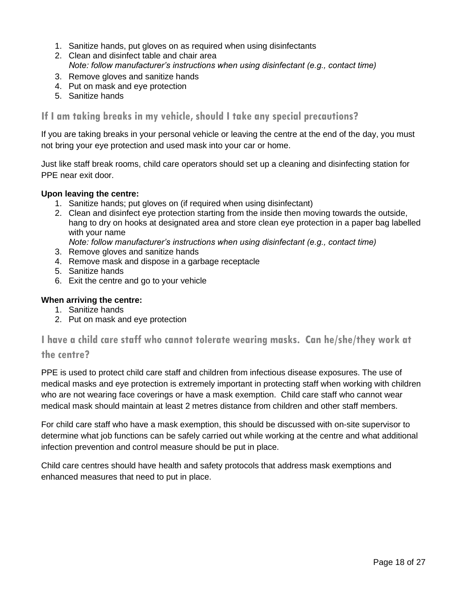- 1. Sanitize hands, put gloves on as required when using disinfectants
- 2. Clean and disinfect table and chair area *Note: follow manufacturer's instructions when using disinfectant (e.g., contact time)*
- 3. Remove gloves and sanitize hands
- 4. Put on mask and eye protection
- 5. Sanitize hands

#### <span id="page-17-0"></span>**If I am taking breaks in my vehicle, should I take any special precautions?**

If you are taking breaks in your personal vehicle or leaving the centre at the end of the day, you must not bring your eye protection and used mask into your car or home.

Just like staff break rooms, child care operators should set up a cleaning and disinfecting station for PPE near exit door.

#### **Upon leaving the centre:**

- 1. Sanitize hands; put gloves on (if required when using disinfectant)
- 2. Clean and disinfect eye protection starting from the inside then moving towards the outside, hang to dry on hooks at designated area and store clean eye protection in a paper bag labelled with your name

*Note: follow manufacturer's instructions when using disinfectant (e.g., contact time)*

- 3. Remove gloves and sanitize hands
- 4. Remove mask and dispose in a garbage receptacle
- 5. Sanitize hands
- 6. Exit the centre and go to your vehicle

#### **When arriving the centre:**

- 1. Sanitize hands
- 2. Put on mask and eye protection

<span id="page-17-1"></span>**I have a child care staff who cannot tolerate wearing masks. Can he/she/they work at** 

#### **the centre?**

PPE is used to protect child care staff and children from infectious disease exposures. The use of medical masks and eye protection is extremely important in protecting staff when working with children who are not wearing face coverings or have a mask exemption. Child care staff who cannot wear medical mask should maintain at least 2 metres distance from children and other staff members.

For child care staff who have a mask exemption, this should be discussed with on-site supervisor to determine what job functions can be safely carried out while working at the centre and what additional infection prevention and control measure should be put in place.

Child care centres should have health and safety protocols that address mask exemptions and enhanced measures that need to put in place.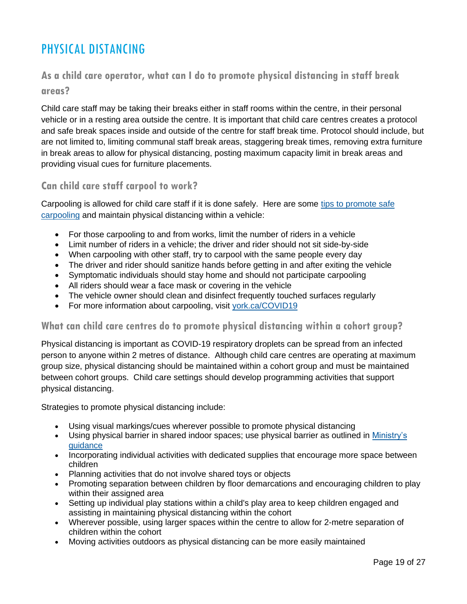# <span id="page-18-0"></span>PHYSICAL DISTANCING

### <span id="page-18-1"></span>**As a child care operator, what can I do to promote physical distancing in staff break areas?**

Child care staff may be taking their breaks either in staff rooms within the centre, in their personal vehicle or in a resting area outside the centre. It is important that child care centres creates a protocol and safe break spaces inside and outside of the centre for staff break time. Protocol should include, but are not limited to, limiting communal staff break areas, staggering break times, removing extra furniture in break areas to allow for physical distancing, posting maximum capacity limit in break areas and providing visual cues for furniture placements.

### <span id="page-18-2"></span>**Can child care staff carpool to work?**

Carpooling is allowed for child care staff if it is done safely. Here are some [tips to promote safe](https://www.york.ca/wps/wcm/connect/yorkpublic/5e6a3ffb-1b02-40f3-9d9b-6295fa3064cf/44_Carpooling+Advice.pdf?MOD=AJPERES&CACHEID=ROOTWORKSPACE.Z18_29D41BG0PGOC70QQGGJK4I0004-5e6a3ffb-1b02-40f3-9d9b-6295fa3064cf-nsnjY3e)  [carpooling](https://www.york.ca/wps/wcm/connect/yorkpublic/5e6a3ffb-1b02-40f3-9d9b-6295fa3064cf/44_Carpooling+Advice.pdf?MOD=AJPERES&CACHEID=ROOTWORKSPACE.Z18_29D41BG0PGOC70QQGGJK4I0004-5e6a3ffb-1b02-40f3-9d9b-6295fa3064cf-nsnjY3e) and maintain physical distancing within a vehicle:

- For those carpooling to and from works, limit the number of riders in a vehicle
- Limit number of riders in a vehicle; the driver and rider should not sit side-by-side
- When carpooling with other staff, try to carpool with the same people every day
- The driver and rider should sanitize hands before getting in and after exiting the vehicle
- Symptomatic individuals should stay home and should not participate carpooling
- All riders should wear a face mask or covering in the vehicle
- The vehicle owner should clean and disinfect frequently touched surfaces regularly
- For more information about carpooling, visit [york.ca/COVID19](https://www.york.ca/wps/wcm/connect/yorkpublic/5e6a3ffb-1b02-40f3-9d9b-6295fa3064cf/202032_44_+Carpooling_advice.pdf?MOD=AJPERES&CACHEID=ROOTWORKSPACE.Z18_29D41BG0PGOC70QQGGJK4I0004-5e6a3ffb-1b02-40f3-9d9b-6295fa3064cf-n97QMoO)

#### <span id="page-18-3"></span>**What can child care centres do to promote physical distancing within a cohort group?**

Physical distancing is important as COVID-19 respiratory droplets can be spread from an infected person to anyone within 2 metres of distance. Although child care centres are operating at maximum group size, physical distancing should be maintained within a cohort group and must be maintained between cohort groups. Child care settings should develop programming activities that support physical distancing.

Strategies to promote physical distancing include:

- Using visual markings/cues wherever possible to promote physical distancing
- Using physical barrier in shared indoor spaces; use physical barrier as outlined in Ministry's [guidance](http://www.edu.gov.on.ca/childcare/child-care-guide-child-care.pdf)
- Incorporating individual activities with dedicated supplies that encourage more space between children
- Planning activities that do not involve shared toys or objects
- Promoting separation between children by floor demarcations and encouraging children to play within their assigned area
- Setting up individual play stations within a child's play area to keep children engaged and assisting in maintaining physical distancing within the cohort
- Wherever possible, using larger spaces within the centre to allow for 2-metre separation of children within the cohort
- Moving activities outdoors as physical distancing can be more easily maintained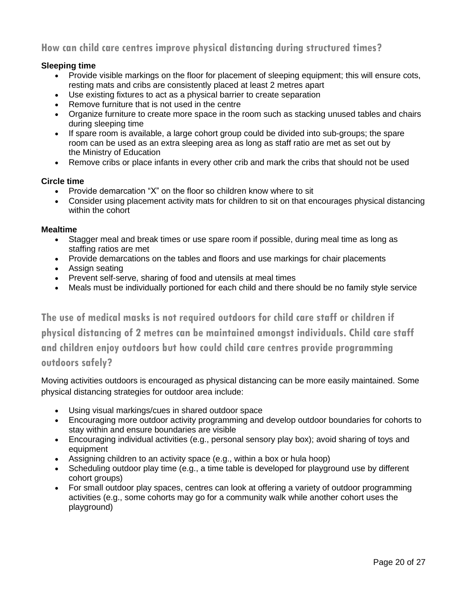### <span id="page-19-0"></span>**How can child care centres improve physical distancing during structured times?**

#### **Sleeping time**

- Provide visible markings on the floor for placement of sleeping equipment; this will ensure cots, resting mats and cribs are consistently placed at least 2 metres apart
- Use existing fixtures to act as a physical barrier to create separation
- Remove furniture that is not used in the centre
- Organize furniture to create more space in the room such as stacking unused tables and chairs during sleeping time
- If spare room is available, a large cohort group could be divided into sub-groups; the spare room can be used as an extra sleeping area as long as staff ratio are met as set out by the Ministry of Education
- Remove cribs or place infants in every other crib and mark the cribs that should not be used

#### **Circle time**

- Provide demarcation "X" on the floor so children know where to sit
- Consider using placement activity mats for children to sit on that encourages physical distancing within the cohort

#### **Mealtime**

- Stagger meal and break times or use spare room if possible, during meal time as long as staffing ratios are met
- Provide demarcations on the tables and floors and use markings for chair placements
- Assign seating
- Prevent self-serve, sharing of food and utensils at meal times
- Meals must be individually portioned for each child and there should be no family style service

<span id="page-19-1"></span>**The use of medical masks is not required outdoors for child care staff or children if physical distancing of 2 metres can be maintained amongst individuals. Child care staff and children enjoy outdoors but how could child care centres provide programming outdoors safely?**

Moving activities outdoors is encouraged as physical distancing can be more easily maintained. Some physical distancing strategies for outdoor area include:

- Using visual markings/cues in shared outdoor space
- Encouraging more outdoor activity programming and develop outdoor boundaries for cohorts to stay within and ensure boundaries are visible
- Encouraging individual activities (e.g., personal sensory play box); avoid sharing of toys and equipment
- Assigning children to an activity space (e.g., within a box or hula hoop)
- Scheduling outdoor play time (e.g., a time table is developed for playground use by different cohort groups)
- For small outdoor play spaces, centres can look at offering a variety of outdoor programming activities (e.g., some cohorts may go for a community walk while another cohort uses the playground)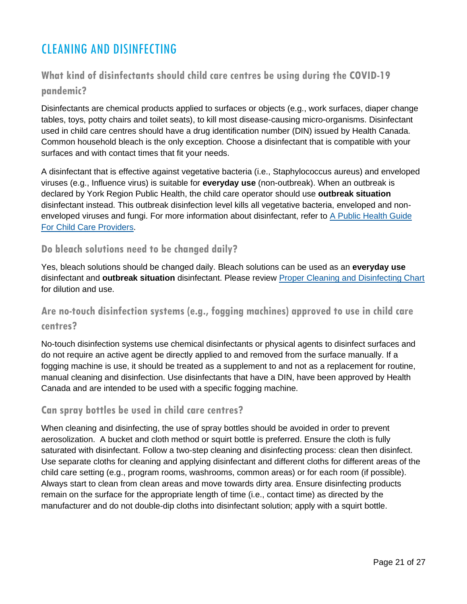# <span id="page-20-0"></span>CLEANING AND DISINFECTING

# <span id="page-20-1"></span>**What kind of disinfectants should child care centres be using during the COVID-19 pandemic?**

Disinfectants are chemical products applied to surfaces or objects (e.g., work surfaces, diaper change tables, toys, potty chairs and toilet seats), to kill most disease-causing micro-organisms. Disinfectant used in child care centres should have a drug identification number (DIN) issued by Health Canada. Common household bleach is the only exception. Choose a disinfectant that is compatible with your surfaces and with contact times that fit your needs.

A disinfectant that is effective against vegetative bacteria (i.e., Staphylococcus aureus) and enveloped viruses (e.g., Influence virus) is suitable for **everyday use** (non-outbreak). When an outbreak is declared by York Region Public Health, the child care operator should use **outbreak situation**  disinfectant instead. This outbreak disinfection level kills all vegetative bacteria, enveloped and nonenveloped viruses and fungi. For more information about disinfectant, refer to [A Public Health Guide](http://www.york.ca/childcareguide)  [For Child Care Providers.](http://www.york.ca/childcareguide)

#### <span id="page-20-2"></span>**Do bleach solutions need to be changed daily?**

Yes, bleach solutions should be changed daily. Bleach solutions can be used as an **everyday use** disinfectant and **outbreak situation** disinfectant. Please review [Proper Cleaning and Disinfecting Chart](https://www.york.ca/wps/wcm/connect/yorkpublic/928899a2-d56b-47af-a9a0-b6e62d8e0bb7/Proper+Cleaning+and+Disinfection+Practices.pdf?MOD=AJPERES&CVID=mVMtoGe) for dilution and use.

### <span id="page-20-3"></span>**Are no-touch disinfection systems (e.g., fogging machines) approved to use in child care centres?**

No-touch disinfection systems use chemical disinfectants or physical agents to disinfect surfaces and do not require an active agent be directly applied to and removed from the surface manually. If a fogging machine is use, it should be treated as a supplement to and not as a replacement for routine, manual cleaning and disinfection. Use disinfectants that have a DIN, have been approved by Health Canada and are intended to be used with a specific fogging machine.

#### <span id="page-20-4"></span>**Can spray bottles be used in child care centres?**

When cleaning and disinfecting, the use of spray bottles should be avoided in order to prevent aerosolization. A bucket and cloth method or squirt bottle is preferred. Ensure the cloth is fully saturated with disinfectant. Follow a two-step cleaning and disinfecting process: clean then disinfect. Use separate cloths for cleaning and applying disinfectant and different cloths for different areas of the child care setting (e.g., program rooms, washrooms, common areas) or for each room (if possible). Always start to clean from clean areas and move towards dirty area. Ensure disinfecting products remain on the surface for the appropriate length of time (i.e., contact time) as directed by the manufacturer and do not double-dip cloths into disinfectant solution; apply with a squirt bottle.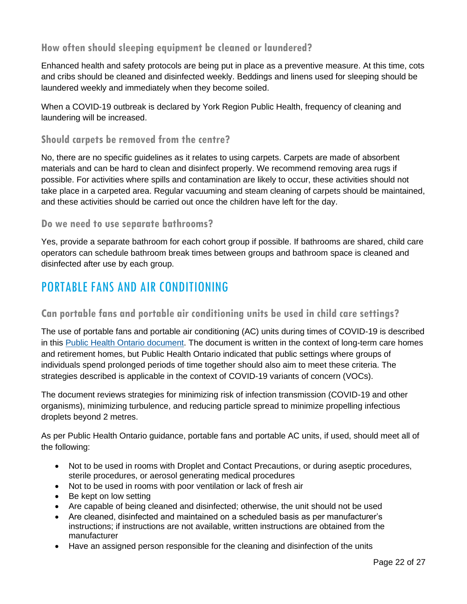### <span id="page-21-0"></span>**How often should sleeping equipment be cleaned or laundered?**

Enhanced health and safety protocols are being put in place as a preventive measure. At this time, cots and cribs should be cleaned and disinfected weekly. Beddings and linens used for sleeping should be laundered weekly and immediately when they become soiled.

When a COVID-19 outbreak is declared by York Region Public Health, frequency of cleaning and laundering will be increased.

### <span id="page-21-1"></span>**Should carpets be removed from the centre?**

No, there are no specific guidelines as it relates to using carpets. Carpets are made of absorbent materials and can be hard to clean and disinfect properly. We recommend removing area rugs if possible. For activities where spills and contamination are likely to occur, these activities should not take place in a carpeted area. Regular vacuuming and steam cleaning of carpets should be maintained, and these activities should be carried out once the children have left for the day.

#### <span id="page-21-2"></span>**Do we need to use separate bathrooms?**

Yes, provide a separate bathroom for each cohort group if possible. If bathrooms are shared, child care operators can schedule bathroom break times between groups and bathroom space is cleaned and disinfected after use by each group.

# <span id="page-21-3"></span>PORTABLE FANS AND AIR CONDITIONING

#### <span id="page-21-4"></span>**Can portable fans and portable air conditioning units be used in child care settings?**

The use of portable fans and portable air conditioning (AC) units during times of COVID-19 is described in this [Public Health Ontario document.](https://www.publichealthontario.ca/-/media/documents/ncov/ltcrh/2020/08/covid-19-fans-air-conditioning-ltcrh.pdf?la=en) The document is written in the context of long-term care homes and retirement homes, but Public Health Ontario indicated that public settings where groups of individuals spend prolonged periods of time together should also aim to meet these criteria. The strategies described is applicable in the context of COVID-19 variants of concern (VOCs).

The document reviews strategies for minimizing risk of infection transmission (COVID-19 and other organisms), minimizing turbulence, and reducing particle spread to minimize propelling infectious droplets beyond 2 metres.

As per Public Health Ontario guidance, portable fans and portable AC units, if used, should meet all of the following:

- Not to be used in rooms with Droplet and Contact Precautions, or during aseptic procedures, sterile procedures, or aerosol generating medical procedures
- Not to be used in rooms with poor ventilation or lack of fresh air
- Be kept on low setting
- Are capable of being cleaned and disinfected; otherwise, the unit should not be used
- Are cleaned, disinfected and maintained on a scheduled basis as per manufacturer's instructions; if instructions are not available, written instructions are obtained from the manufacturer
- Have an assigned person responsible for the cleaning and disinfection of the units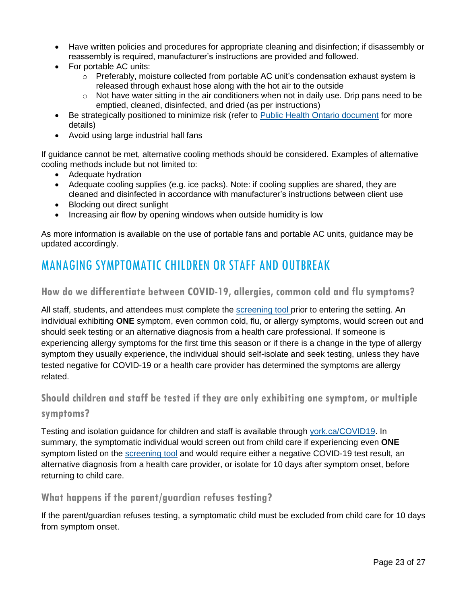- Have written policies and procedures for appropriate cleaning and disinfection; if disassembly or reassembly is required, manufacturer's instructions are provided and followed.
- For portable AC units:
	- $\circ$  Preferably, moisture collected from portable AC unit's condensation exhaust system is released through exhaust hose along with the hot air to the outside
	- $\circ$  Not have water sitting in the air conditioners when not in daily use. Drip pans need to be emptied, cleaned, disinfected, and dried (as per instructions)
- Be strategically positioned to minimize risk (refer to [Public Health Ontario document](https://www.publichealthontario.ca/-/media/documents/ncov/ltcrh/2020/08/covid-19-fans-air-conditioning-ltcrh.pdf?la=en) for more details)
- Avoid using large industrial hall fans

If guidance cannot be met, alternative cooling methods should be considered. Examples of alternative cooling methods include but not limited to:

- Adequate hydration
- Adequate cooling supplies (e.g. ice packs). Note: if cooling supplies are shared, they are cleaned and disinfected in accordance with manufacturer's instructions between client use
- Blocking out direct sunlight
- Increasing air flow by opening windows when outside humidity is low

As more information is available on the use of portable fans and portable AC units, guidance may be updated accordingly.

# <span id="page-22-0"></span>MANAGING SYMPTOMATIC CHILDREN OR STAFF AND OUTBREAK

#### <span id="page-22-1"></span>**How do we differentiate between COVID-19, allergies, common cold and flu symptoms?**

All staff, students, and attendees must complete the [screening tool](https://covid-19.ontario.ca/school-screening/) prior to entering the setting. An individual exhibiting **ONE** symptom, even common cold, flu, or allergy symptoms, would screen out and should seek testing or an alternative diagnosis from a health care professional. If someone is experiencing allergy symptoms for the first time this season or if there is a change in the type of allergy symptom they usually experience, the individual should self-isolate and seek testing, unless they have tested negative for COVID-19 or a health care provider has determined the symptoms are allergy related.

# <span id="page-22-2"></span>**Should children and staff be tested if they are only exhibiting one symptom, or multiple symptoms?**

Testing and isolation guidance for children and staff is available through [york.ca/COVID19.](https://www.york.ca/wps/portal/yorkhome/health/yr/covid-19/symptomstransmissiontreatmentandtesting/!ut/p/z1/tZJdU-IwGIV_ixdcdvImLSRcxi5LW6XgB1-9YWIbIS5JsY24_PsNjs7sjaij6UU66Zyct-fJQQVaoMKIvVoLq2ojtm6_LHqrlA_TJLmAbByxGDiMeUYog0Efo_mLAN55OKDiM-dPCIrT9jNUoGJXqgot7ysqMAgIaJeRIJJhFfRLCQFmAtgdBSnK6Kgujd3ZDVoemlVZGyuN7cChbv64TWuVfXr5sKm1dKsUW7vpQFnvVRXgfgfag97ZWre2EabVqm0dJ9tIYbU7JkxlpfMwa5R9FNyRJc0oHq3d7wu7CZS5r9HibRBafHaQ81EPj48Fd8GOaf5atPCabH5k-H-24Q2LIJ1llM_wGKI0fBUQEvUSHEMGyZhB-ptOur9YguGCvApOXOvS1YK-i--aoPleyWc0NXWjXU1vvtiC5G0CZTFP-BAmcDulcDWgEetdjiaX1_ibEz4I4Nk-9GpPwa898Wv_M3CyFGLMj_UPByFwksbsPMxYnvtln_tln_tln_vt_ey7cHZ6OtUs7G4fDiGoiY7v2GgQdtd6dfr1zM_O_gHoL_--/dz/d5/L2dBISEvZ0FBIS9nQSEh/#.YMIP0_lKg2w) In summary, the symptomatic individual would screen out from child care if experiencing even **ONE** symptom listed on the [screening tool](https://covid-19.ontario.ca/school-screening/) and would require either a negative COVID-19 test result, an alternative diagnosis from a health care provider, or isolate for 10 days after symptom onset, before returning to child care.

#### <span id="page-22-3"></span>**What happens if the parent/guardian refuses testing?**

If the parent/guardian refuses testing, a symptomatic child must be excluded from child care for 10 days from symptom onset.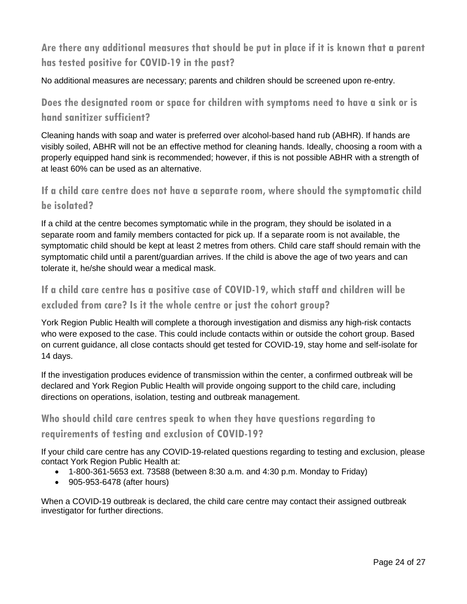# <span id="page-23-0"></span>**Are there any additional measures that should be put in place if it is known that a parent has tested positive for COVID-19 in the past?**

#### No additional measures are necessary; parents and children should be screened upon re-entry.

# <span id="page-23-1"></span>**Does the designated room or space for children with symptoms need to have a sink or is hand sanitizer sufficient?**

Cleaning hands with soap and water is preferred over alcohol-based hand rub (ABHR). If hands are visibly soiled, ABHR will not be an effective method for cleaning hands. Ideally, choosing a room with a properly equipped hand sink is recommended; however, if this is not possible ABHR with a strength of at least 60% can be used as an alternative.

### <span id="page-23-2"></span>**If a child care centre does not have a separate room, where should the symptomatic child be isolated?**

If a child at the centre becomes symptomatic while in the program, they should be isolated in a separate room and family members contacted for pick up. If a separate room is not available, the symptomatic child should be kept at least 2 metres from others. Child care staff should remain with the symptomatic child until a parent/guardian arrives. If the child is above the age of two years and can tolerate it, he/she should wear a medical mask.

# <span id="page-23-3"></span>**If a child care centre has a positive case of COVID-19, which staff and children will be excluded from care? Is it the whole centre or just the cohort group?**

York Region Public Health will complete a thorough investigation and dismiss any high-risk contacts who were exposed to the case. This could include contacts within or outside the cohort group. Based on current guidance, all close contacts should get tested for COVID-19, stay home and self-isolate for 14 days.

If the investigation produces evidence of transmission within the center, a confirmed outbreak will be declared and York Region Public Health will provide ongoing support to the child care, including directions on operations, isolation, testing and outbreak management.

### <span id="page-23-4"></span>**Who should child care centres speak to when they have questions regarding to**

#### **requirements of testing and exclusion of COVID-19?**

If your child care centre has any COVID-19-related questions regarding to testing and exclusion, please contact York Region Public Health at:

- 1-800-361-5653 ext. 73588 (between 8:30 a.m. and 4:30 p.m. Monday to Friday)
- 905-953-6478 (after hours)

When a COVID-19 outbreak is declared, the child care centre may contact their assigned outbreak investigator for further directions.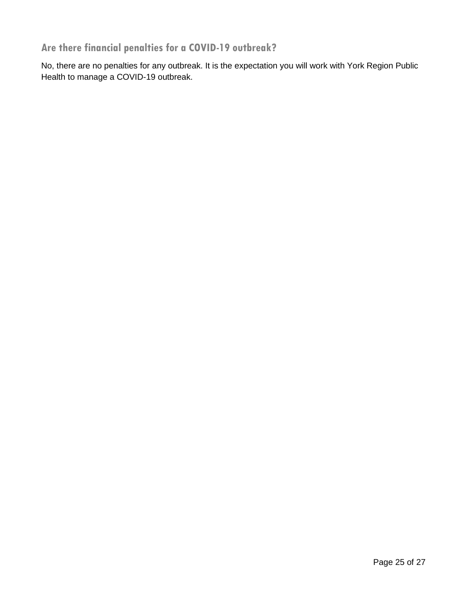<span id="page-24-0"></span>**Are there financial penalties for a COVID-19 outbreak?**

No, there are no penalties for any outbreak. It is the expectation you will work with York Region Public Health to manage a COVID-19 outbreak.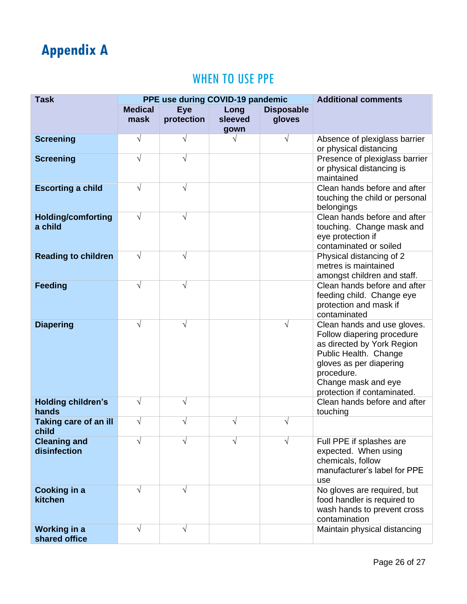# <span id="page-25-1"></span><span id="page-25-0"></span>**Appendix A**

# WHEN TO USE PPE

| <b>Task</b>                           | PPE use during COVID-19 pandemic |                          |                         |                             | <b>Additional comments</b>                                                                                                                                                                                      |
|---------------------------------------|----------------------------------|--------------------------|-------------------------|-----------------------------|-----------------------------------------------------------------------------------------------------------------------------------------------------------------------------------------------------------------|
|                                       | <b>Medical</b><br>mask           | <b>Eye</b><br>protection | Long<br>sleeved<br>gown | <b>Disposable</b><br>gloves |                                                                                                                                                                                                                 |
| <b>Screening</b>                      | V                                | $\sqrt{}$                | V                       | $\sqrt{}$                   | Absence of plexiglass barrier<br>or physical distancing                                                                                                                                                         |
| <b>Screening</b>                      | V                                | $\sqrt{}$                |                         |                             | Presence of plexiglass barrier<br>or physical distancing is<br>maintained                                                                                                                                       |
| <b>Escorting a child</b>              | $\sqrt{}$                        | $\sqrt{}$                |                         |                             | Clean hands before and after<br>touching the child or personal<br>belongings                                                                                                                                    |
| <b>Holding/comforting</b><br>a child  | V                                | V                        |                         |                             | Clean hands before and after<br>touching. Change mask and<br>eye protection if<br>contaminated or soiled                                                                                                        |
| <b>Reading to children</b>            | V                                | V                        |                         |                             | Physical distancing of 2<br>metres is maintained<br>amongst children and staff.                                                                                                                                 |
| <b>Feeding</b>                        | V                                | V                        |                         |                             | Clean hands before and after<br>feeding child. Change eye<br>protection and mask if<br>contaminated                                                                                                             |
| <b>Diapering</b>                      | V                                | V                        |                         | $\sqrt{}$                   | Clean hands and use gloves.<br>Follow diapering procedure<br>as directed by York Region<br>Public Health. Change<br>gloves as per diapering<br>procedure.<br>Change mask and eye<br>protection if contaminated. |
| <b>Holding children's</b><br>hands    | V                                | V                        |                         |                             | Clean hands before and after<br>touching                                                                                                                                                                        |
| <b>Taking care of an ill</b><br>child | $\sqrt{}$                        | V                        | V                       | $\sqrt{}$                   |                                                                                                                                                                                                                 |
| <b>Cleaning and</b><br>disinfection   |                                  |                          |                         |                             | Full PPE if splashes are<br>expected. When using<br>chemicals, follow<br>manufacturer's label for PPE<br>use                                                                                                    |
| <b>Cooking in a</b><br>kitchen        | $\sqrt{}$                        | $\sqrt{}$                |                         |                             | No gloves are required, but<br>food handler is required to<br>wash hands to prevent cross<br>contamination                                                                                                      |
| <b>Working in a</b><br>shared office  | $\sqrt{}$                        | $\sqrt{}$                |                         |                             | Maintain physical distancing                                                                                                                                                                                    |